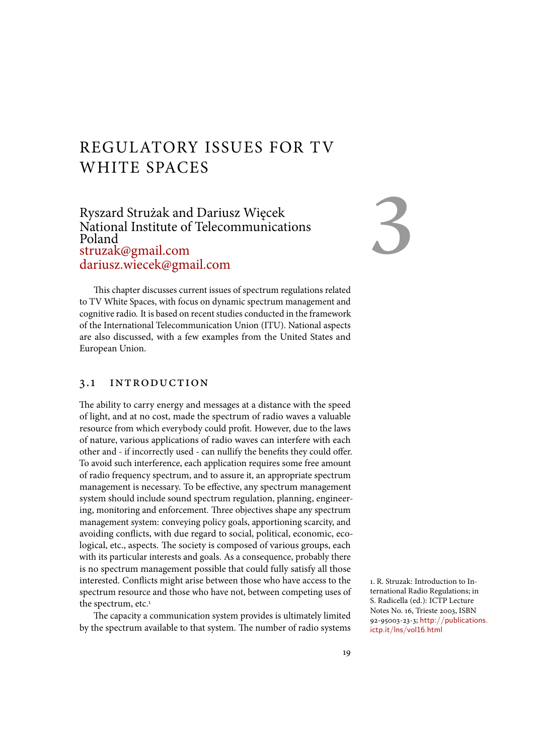# REGULATORY ISSUES FOR TV WHITE SPACES

# Ryszard Strużak and Dariusz Więcek National Institute of Telecommunications Poland struzak@gmail.com dariusz.wiecek@gmail.com

3

This chapter discusses current issues of spectrum regulations related to TV White Spaces, with focus on dynamic spectrum management and cognitive radio. It is based on recent studies conducted in the framework of the International Telecommunication Union (ITU). National aspects are also discussed, with a few examples from the United States and European Union.

### 3.1 introduction

The ability to carry energy and messages at a distance with the speed of light, and at no cost, made the spectrum of radio waves a valuable resource from which everybody could profit. However, due to the laws of nature, various applications of radio waves can interfere with each other and - if incorrectly used - can nullify the benefits they could offer. To avoid such interference, each application requires some free amount of radio frequency spectrum, and to assure it, an appropriate spectrum management is necessary. To be effective, any spectrum management system should include sound spectrum regulation, planning, engineering, monitoring and enforcement. Three objectives shape any spectrum management system: conveying policy goals, apportioning scarcity, and avoiding conflicts, with due regard to social, political, economic, ecological, etc., aspects. The society is composed of various groups, each with its particular interests and goals. As a consequence, probably there is no spectrum management possible that could fully satisfy all those interested. Conflicts might arise between those who have access to the spectrum resource and those who have not, between competing uses of the spectrum, etc.<sup>1</sup>

The capacity a communication system provides is ultimately limited by the spectrum available to that system. The number of radio systems 1. R. Struzak: Introduction to International Radio Regulations; in S. Radicella (ed.): ICTP Lecture Notes No. 16, Trieste 2003, ISBN 92-95003-23-3; http://publications. ictp.it/lns/vol16.html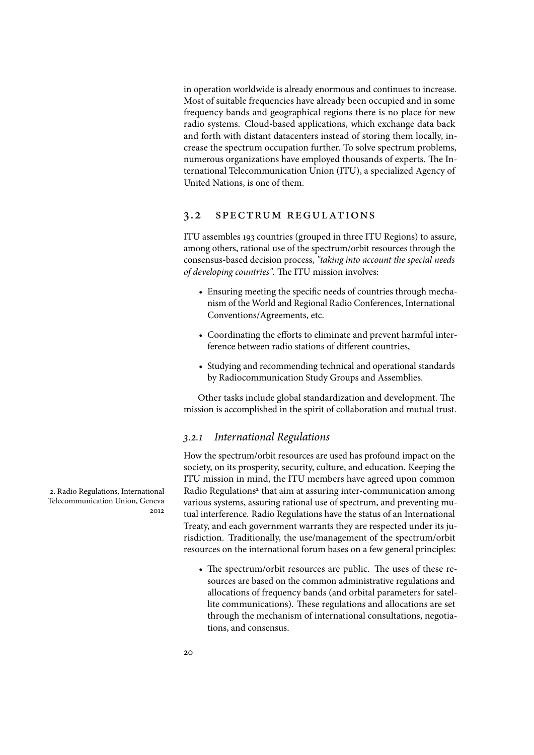in operation worldwide is already enormous and continues to increase. Most of suitable frequencies have already been occupied and in some frequency bands and geographical regions there is no place for new radio systems. Cloud-based applications, which exchange data back and forth with distant datacenters instead of storing them locally, increase the spectrum occupation further. To solve spectrum problems, numerous organizations have employed thousands of experts. The International Telecommunication Union (ITU), a specialized Agency of United Nations, is one of them.

# 3.2 spectrum regulations

ITU assembles 193 countries (grouped in three ITU Regions) to assure, among others, rational use of the spectrum/orbit resources through the consensus-based decision process, *"taking into account the special needs of developing countries"*. The ITU mission involves:

- Ensuring meeting the specific needs of countries through mechanism of the World and Regional Radio Conferences, International Conventions/Agreements, etc.
- Coordinating the efforts to eliminate and prevent harmful interference between radio stations of different countries,
- Studying and recommending technical and operational standards by Radiocommunication Study Groups and Assemblies.

Other tasks include global standardization and development. The mission is accomplished in the spirit of collaboration and mutual trust.

## 3*.*2*.*1 *International Regulations*

How the spectrum/orbit resources are used has profound impact on the society, on its prosperity, security, culture, and education. Keeping the ITU mission in mind, the ITU members have agreed upon common Radio Regulations<sup>2</sup> that aim at assuring inter-communication among various systems, assuring rational use of spectrum, and preventing mutual interference. Radio Regulations have the status of an International Treaty, and each government warrants they are respected under its jurisdiction. Traditionally, the use/management of the spectrum/orbit resources on the international forum bases on a few general principles:

• The spectrum/orbit resources are public. The uses of these resources are based on the common administrative regulations and allocations of frequency bands (and orbital parameters for satellite communications). These regulations and allocations are set through the mechanism of international consultations, negotiations, and consensus.

2. Radio Regulations, International Telecommunication Union, Geneva 2012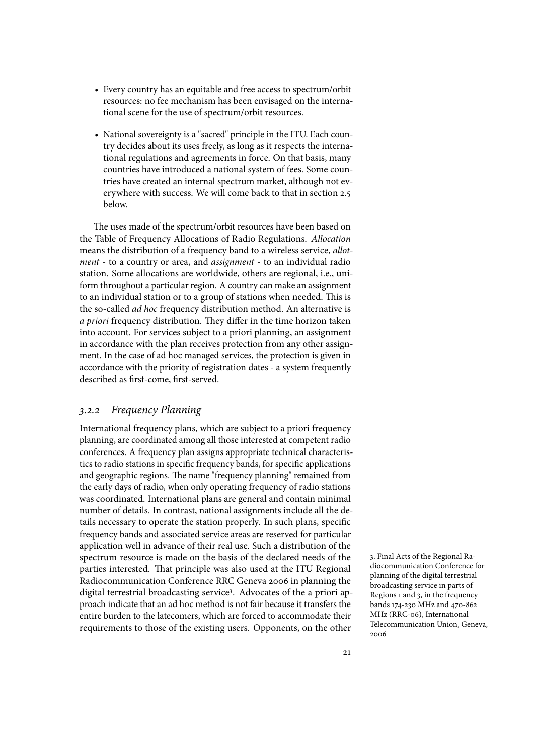- Every country has an equitable and free access to spectrum/orbit resources: no fee mechanism has been envisaged on the international scene for the use of spectrum/orbit resources.
- National sovereignty is a "sacred" principle in the ITU. Each country decides about its uses freely, as long as it respects the international regulations and agreements in force. On that basis, many countries have introduced a national system of fees. Some countries have created an internal spectrum market, although not everywhere with success. We will come back to that in section 2.5 below.

The uses made of the spectrum/orbit resources have been based on the Table of Frequency Allocations of Radio Regulations. *Allocation* means the distribution of a frequency band to a wireless service, *allotment* - to a country or area, and *assignment* - to an individual radio station. Some allocations are worldwide, others are regional, i.e., uniform throughout a particular region. A country can make an assignment to an individual station or to a group of stations when needed. This is the so-called *ad hoc* frequency distribution method. An alternative is *a priori* frequency distribution. They differ in the time horizon taken into account. For services subject to a priori planning, an assignment in accordance with the plan receives protection from any other assignment. In the case of ad hoc managed services, the protection is given in accordance with the priority of registration dates - a system frequently described as first-come, first-served.

# 3*.*2*.*2 *Frequency Planning*

International frequency plans, which are subject to a priori frequency planning, are coordinated among all those interested at competent radio conferences. A frequency plan assigns appropriate technical characteristics to radio stations in specific frequency bands, for specific applications and geographic regions. The name "frequency planning" remained from the early days of radio, when only operating frequency of radio stations was coordinated. International plans are general and contain minimal number of details. In contrast, national assignments include all the details necessary to operate the station properly. In such plans, specific frequency bands and associated service areas are reserved for particular application well in advance of their real use. Such a distribution of the spectrum resource is made on the basis of the declared needs of the parties interested. That principle was also used at the ITU Regional Radiocommunication Conference RRC Geneva 2006 in planning the digital terrestrial broadcasting service<sup>3</sup>. Advocates of the a priori approach indicate that an ad hoc method is not fair because it transfers the entire burden to the latecomers, which are forced to accommodate their requirements to those of the existing users. Opponents, on the other

3. Final Acts of the Regional Radiocommunication Conference for planning of the digital terrestrial broadcasting service in parts of Regions 1 and 3, in the frequency bands 174-230 MHz and 470-862 MHz (RRC-06), International Telecommunication Union, Geneva, 2006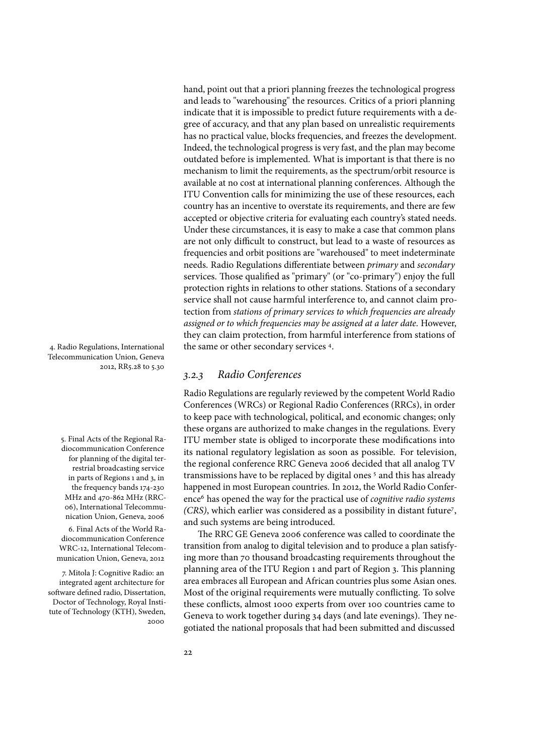hand, point out that a priori planning freezes the technological progress and leads to "warehousing" the resources. Critics of a priori planning indicate that it is impossible to predict future requirements with a degree of accuracy, and that any plan based on unrealistic requirements has no practical value, blocks frequencies, and freezes the development. Indeed, the technological progress is very fast, and the plan may become outdated before is implemented. What is important is that there is no mechanism to limit the requirements, as the spectrum/orbit resource is available at no cost at international planning conferences. Although the ITU Convention calls for minimizing the use of these resources, each country has an incentive to overstate its requirements, and there are few accepted or objective criteria for evaluating each country's stated needs. Under these circumstances, it is easy to make a case that common plans are not only difficult to construct, but lead to a waste of resources as frequencies and orbit positions are "warehoused" to meet indeterminate needs. Radio Regulations differentiate between *primary* and *secondary* services. Those qualified as "primary" (or "co-primary") enjoy the full protection rights in relations to other stations. Stations of a secondary service shall not cause harmful interference to, and cannot claim protection from *stations of primary services to which frequencies are already assigned or to which frequencies may be assigned at a later date*. However, they can claim protection, from harmful interference from stations of 4. Radio Regulations, International he same or other secondary services 4.

Telecommunication Union, Geneva 2012, RR5.28 to 5.30

> 5. Final Acts of the Regional Radiocommunication Conference for planning of the digital terrestrial broadcasting service in parts of Regions 1 and 3, in the frequency bands 174-230 MHz and 470-862 MHz (RRC-06), International Telecommunication Union, Geneva, 2006

6. Final Acts of the World Radiocommunication Conference WRC-12, International Telecommunication Union, Geneva, 2012

7. Mitola J: Cognitive Radio: an integrated agent architecture for software defined radio, Dissertation, Doctor of Technology, Royal Institute of Technology (KTH), Sweden, 2000

#### 3*.*2*.*3 *Radio Conferences*

Radio Regulations are regularly reviewed by the competent World Radio Conferences (WRCs) or Regional Radio Conferences (RRCs), in order to keep pace with technological, political, and economic changes; only these organs are authorized to make changes in the regulations. Every ITU member state is obliged to incorporate these modifications into its national regulatory legislation as soon as possible. For television, the regional conference RRC Geneva 2006 decided that all analog TV transmissions have to be replaced by digital ones<sup>5</sup> and this has already happened in most European countries. In 2012, the World Radio Conference<sup>6</sup> has opened the way for the practical use of *cognitive radio systems* (CRS), which earlier was considered as a possibility in distant future<sup>7</sup>, and such systems are being introduced.

The RRC GE Geneva 2006 conference was called to coordinate the transition from analog to digital television and to produce a plan satisfying more than 70 thousand broadcasting requirements throughout the planning area of the ITU Region 1 and part of Region 3. This planning area embraces all European and African countries plus some Asian ones. Most of the original requirements were mutually conflicting. To solve these conflicts, almost 1000 experts from over 100 countries came to Geneva to work together during 34 days (and late evenings). They negotiated the national proposals that had been submitted and discussed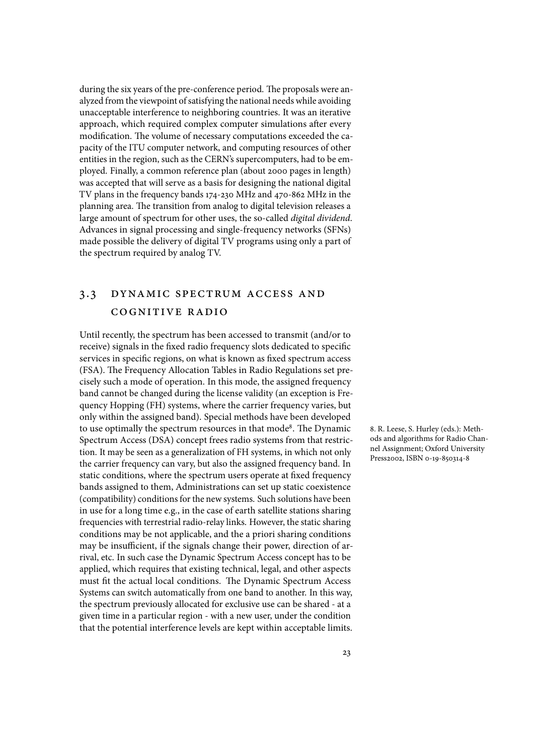during the six years of the pre-conference period. The proposals were analyzed from the viewpoint of satisfying the national needs while avoiding unacceptable interference to neighboring countries. It was an iterative approach, which required complex computer simulations after every modification. The volume of necessary computations exceeded the capacity of the ITU computer network, and computing resources of other entities in the region, such as the CERN's supercomputers, had to be employed. Finally, a common reference plan (about 2000 pages in length) was accepted that will serve as a basis for designing the national digital TV plans in the frequency bands 174-230 MHz and 470-862 MHz in the planning area. The transition from analog to digital television releases a large amount of spectrum for other uses, the so-called *digital dividend*. Advances in signal processing and single-frequency networks (SFNs) made possible the delivery of digital TV programs using only a part of the spectrum required by analog TV.

# 3.3 dynamic spectrum access and cognitive radio

Until recently, the spectrum has been accessed to transmit (and/or to receive) signals in the fixed radio frequency slots dedicated to specific services in specific regions, on what is known as fixed spectrum access (FSA). The Frequency Allocation Tables in Radio Regulations set precisely such a mode of operation. In this mode, the assigned frequency band cannot be changed during the license validity (an exception is Frequency Hopping (FH) systems, where the carrier frequency varies, but only within the assigned band). Special methods have been developed to use optimally the spectrum resources in that  $mode^8$ . The Dynamic  $\qquad \,$  8. R. Leese, S. Hurley (eds.): Meth-Spectrum Access (DSA) concept frees radio systems from that restriction. It may be seen as a generalization of FH systems, in which not only the carrier frequency can vary, but also the assigned frequency band. In static conditions, where the spectrum users operate at fixed frequency bands assigned to them, Administrations can set up static coexistence (compatibility) conditions for the new systems. Such solutions have been in use for a long time e.g., in the case of earth satellite stations sharing frequencies with terrestrial radio-relay links. However, the static sharing conditions may be not applicable, and the a priori sharing conditions may be insufficient, if the signals change their power, direction of arrival, etc. In such case the Dynamic Spectrum Access concept has to be applied, which requires that existing technical, legal, and other aspects must fit the actual local conditions. The Dynamic Spectrum Access Systems can switch automatically from one band to another. In this way, the spectrum previously allocated for exclusive use can be shared - at a given time in a particular region - with a new user, under the condition that the potential interference levels are kept within acceptable limits.

ods and algorithms for Radio Channel Assignment; Oxford University Press2002, ISBN 0-19-850314-8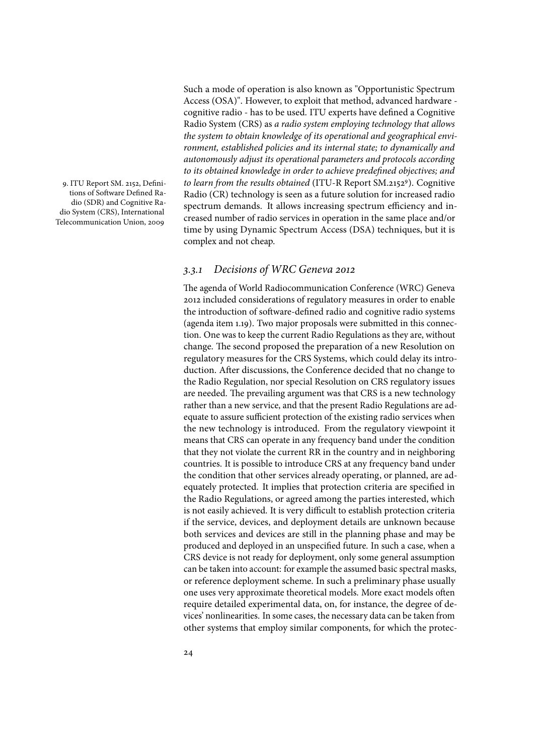tions of Software Defined Radio (SDR) and Cognitive Radio System (CRS), International Telecommunication Union, 2009

Such a mode of operation is also known as "Opportunistic Spectrum Access (OSA)". However, to exploit that method, advanced hardware cognitive radio - has to be used. ITU experts have defined a Cognitive Radio System (CRS) as *a radio system employing technology that allows the system to obtain knowledge of its operational and geographical environment, established policies and its internal state; to dynamically and autonomously adjust its operational parameters and protocols according to its obtained knowledge in order to achieve prede*\$*ned objectives; and* 9. ITU Report SM. 2152, Defini- *to learn from the results obtained* (ITU-R Report SM.2152<sup>9</sup>). Cognitive Radio (CR) technology is seen as a future solution for increased radio spectrum demands. It allows increasing spectrum efficiency and increased number of radio services in operation in the same place and/or time by using Dynamic Spectrum Access (DSA) techniques, but it is complex and not cheap.

# 3*.*3*.*1 *Decisions of WRC Geneva* 2012

The agenda of World Radiocommunication Conference (WRC) Geneva 2012 included considerations of regulatory measures in order to enable the introduction of software-defined radio and cognitive radio systems (agenda item 1.19). Two major proposals were submitted in this connection. One was to keep the current Radio Regulations as they are, without change. The second proposed the preparation of a new Resolution on regulatory measures for the CRS Systems, which could delay its introduction. After discussions, the Conference decided that no change to the Radio Regulation, nor special Resolution on CRS regulatory issues are needed. The prevailing argument was that CRS is a new technology rather than a new service, and that the present Radio Regulations are adequate to assure sufficient protection of the existing radio services when the new technology is introduced. From the regulatory viewpoint it means that CRS can operate in any frequency band under the condition that they not violate the current RR in the country and in neighboring countries. It is possible to introduce CRS at any frequency band under the condition that other services already operating, or planned, are adequately protected. It implies that protection criteria are specified in the Radio Regulations, or agreed among the parties interested, which is not easily achieved. It is very difficult to establish protection criteria if the service, devices, and deployment details are unknown because both services and devices are still in the planning phase and may be produced and deployed in an unspecified future. In such a case, when a CRS device is not ready for deployment, only some general assumption can be taken into account: for example the assumed basic spectral masks, or reference deployment scheme. In such a preliminary phase usually one uses very approximate theoretical models. More exact models often require detailed experimental data, on, for instance, the degree of devices' nonlinearities. In some cases, the necessary data can be taken from other systems that employ similar components, for which the protec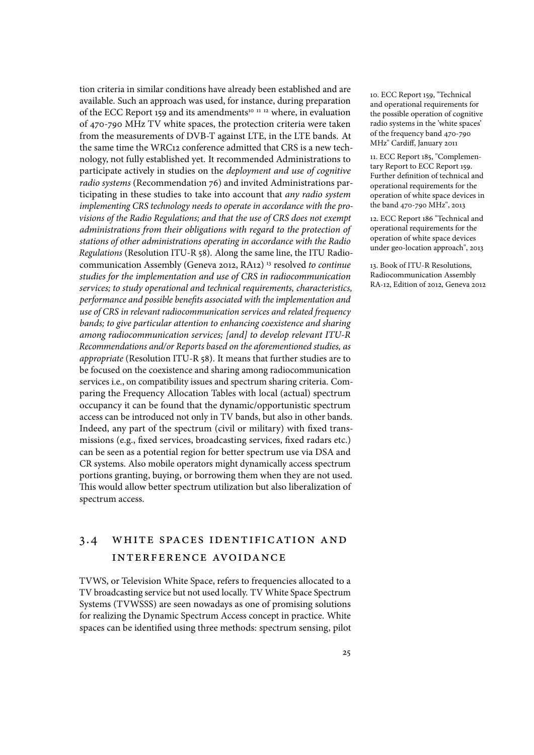tion criteria in similar conditions have already been established and are available. Such an approach was used, for instance, during preparation of the ECC Report 159 and its amendments<sup>10 11</sup> <sup>12</sup> where, in evaluation of 470-790 MHz TV white spaces, the protection criteria were taken from the measurements of DVB-T against LTE, in the LTE bands. At the same time the WRC12 conference admitted that CRS is a new technology, not fully established yet. It recommended Administrations to participate actively in studies on the *deployment and use of cognitive radio systems* (Recommendation 76) and invited Administrations participating in these studies to take into account that *any radio system implementing CRS technology needs to operate in accordance with the provisions of the Radio Regulations; and that the use of CRS does not exempt administrations from their obligations with regard to the protection of stations of other administrations operating in accordance with the Radio Regulations* (Resolution ITU-R 58). Along the same line, the ITU Radiocommunication Assembly (Geneva 2012, RA12)<sup>13</sup> resolved to continue 13. Book of ITU-R Resolutions, *studies for the implementation and use of CRS in radiocommunication services; to study operational and technical requirements, characteristics, performance and possible bene*\$*ts associated with the implementation and use of CRS in relevant radiocommunication services and related frequency bands; to give particular attention to enhancing coexistence and sharing among radiocommunication services; [and] to develop relevant ITU-R Recommendations and/or Reports based on the aforementioned studies, as appropriate* (Resolution ITU-R 58). It means that further studies are to be focused on the coexistence and sharing among radiocommunication services i.e., on compatibility issues and spectrum sharing criteria. Comparing the Frequency Allocation Tables with local (actual) spectrum occupancy it can be found that the dynamic/opportunistic spectrum access can be introduced not only in TV bands, but also in other bands. Indeed, any part of the spectrum (civil or military) with fixed transmissions (e.g., fixed services, broadcasting services, fixed radars etc.) can be seen as a potential region for better spectrum use via DSA and CR systems. Also mobile operators might dynamically access spectrum portions granting, buying, or borrowing them when they are not used. This would allow better spectrum utilization but also liberalization of spectrum access.

# 3.4 white spaces identification and interference avoidance

TVWS, or Television White Space, refers to frequencies allocated to a TV broadcasting service but not used locally. TV White Space Spectrum Systems (TVWSSS) are seen nowadays as one of promising solutions for realizing the Dynamic Spectrum Access concept in practice. White spaces can be identified using three methods: spectrum sensing, pilot 10. ECC Report 159, "Technical and operational requirements for the possible operation of cognitive radio systems in the 'white spaces' of the frequency band 470-790 MHz" Cardiff, January 2011

11. ECC Report 185, "Complementary Report to ECC Report 159. Further definition of technical and operational requirements for the operation of white space devices in the band 470-790 MHz", 2013

12. ECC Report 186 "Technical and operational requirements for the operation of white space devices under geo-location approach", 2013

Radiocommunication Assembly RA-12, Edition of 2012, Geneva 2012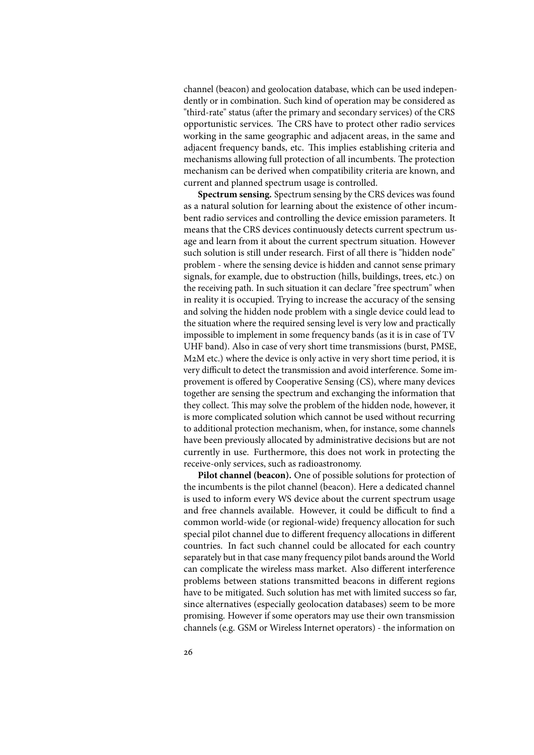channel (beacon) and geolocation database, which can be used independently or in combination. Such kind of operation may be considered as "third-rate" status (after the primary and secondary services) of the CRS opportunistic services. The CRS have to protect other radio services working in the same geographic and adjacent areas, in the same and adjacent frequency bands, etc. This implies establishing criteria and mechanisms allowing full protection of all incumbents. The protection mechanism can be derived when compatibility criteria are known, and current and planned spectrum usage is controlled.

**Spectrum sensing.** Spectrum sensing by the CRS devices was found as a natural solution for learning about the existence of other incumbent radio services and controlling the device emission parameters. It means that the CRS devices continuously detects current spectrum usage and learn from it about the current spectrum situation. However such solution is still under research. First of all there is "hidden node" problem - where the sensing device is hidden and cannot sense primary signals, for example, due to obstruction (hills, buildings, trees, etc.) on the receiving path. In such situation it can declare "free spectrum" when in reality it is occupied. Trying to increase the accuracy of the sensing and solving the hidden node problem with a single device could lead to the situation where the required sensing level is very low and practically impossible to implement in some frequency bands (as it is in case of TV UHF band). Also in case of very short time transmissions (burst, PMSE, M2M etc.) where the device is only active in very short time period, it is very difficult to detect the transmission and avoid interference. Some improvement is offered by Cooperative Sensing (CS), where many devices together are sensing the spectrum and exchanging the information that they collect. This may solve the problem of the hidden node, however, it is more complicated solution which cannot be used without recurring to additional protection mechanism, when, for instance, some channels have been previously allocated by administrative decisions but are not currently in use. Furthermore, this does not work in protecting the receive-only services, such as radioastronomy.

**Pilot channel (beacon).** One of possible solutions for protection of the incumbents is the pilot channel (beacon). Here a dedicated channel is used to inform every WS device about the current spectrum usage and free channels available. However, it could be difficult to find a common world-wide (or regional-wide) frequency allocation for such special pilot channel due to different frequency allocations in different countries. In fact such channel could be allocated for each country separately but in that case many frequency pilot bands around the World can complicate the wireless mass market. Also different interference problems between stations transmitted beacons in different regions have to be mitigated. Such solution has met with limited success so far, since alternatives (especially geolocation databases) seem to be more promising. However if some operators may use their own transmission channels (e.g. GSM or Wireless Internet operators) - the information on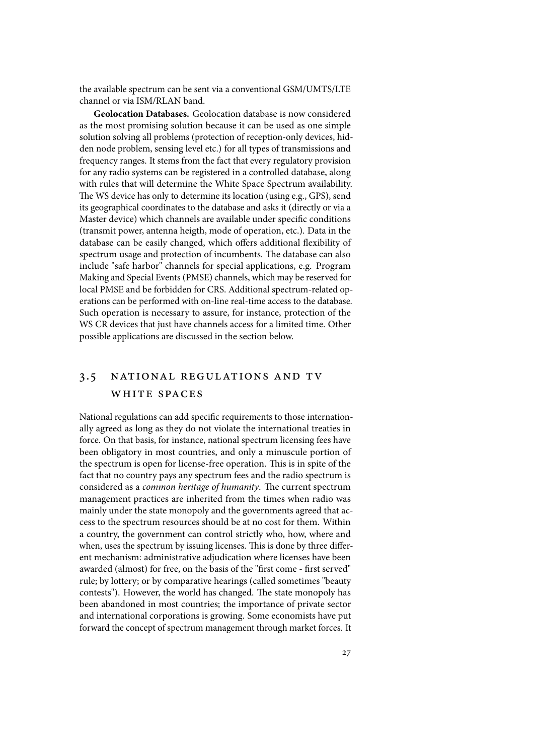the available spectrum can be sent via a conventional GSM/UMTS/LTE channel or via ISM/RLAN band.

**Geolocation Databases.** Geolocation database is now considered as the most promising solution because it can be used as one simple solution solving all problems (protection of reception-only devices, hidden node problem, sensing level etc.) for all types of transmissions and frequency ranges. It stems from the fact that every regulatory provision for any radio systems can be registered in a controlled database, along with rules that will determine the White Space Spectrum availability. The WS device has only to determine its location (using e.g., GPS), send its geographical coordinates to the database and asks it (directly or via a Master device) which channels are available under specific conditions (transmit power, antenna heigth, mode of operation, etc.). Data in the database can be easily changed, which offers additional flexibility of spectrum usage and protection of incumbents. The database can also include "safe harbor" channels for special applications, e.g. Program Making and Special Events (PMSE) channels, which may be reserved for local PMSE and be forbidden for CRS. Additional spectrum-related operations can be performed with on-line real-time access to the database. Such operation is necessary to assure, for instance, protection of the WS CR devices that just have channels access for a limited time. Other possible applications are discussed in the section below.

# 3.5 national regulations and tv white spaces

National regulations can add specific requirements to those internationally agreed as long as they do not violate the international treaties in force. On that basis, for instance, national spectrum licensing fees have been obligatory in most countries, and only a minuscule portion of the spectrum is open for license-free operation. This is in spite of the fact that no country pays any spectrum fees and the radio spectrum is considered as a *common heritage of humanity*. The current spectrum management practices are inherited from the times when radio was mainly under the state monopoly and the governments agreed that access to the spectrum resources should be at no cost for them. Within a country, the government can control strictly who, how, where and when, uses the spectrum by issuing licenses. This is done by three different mechanism: administrative adjudication where licenses have been awarded (almost) for free, on the basis of the "first come - first served" rule; by lottery; or by comparative hearings (called sometimes "beauty contests"). However, the world has changed. The state monopoly has been abandoned in most countries; the importance of private sector and international corporations is growing. Some economists have put forward the concept of spectrum management through market forces. It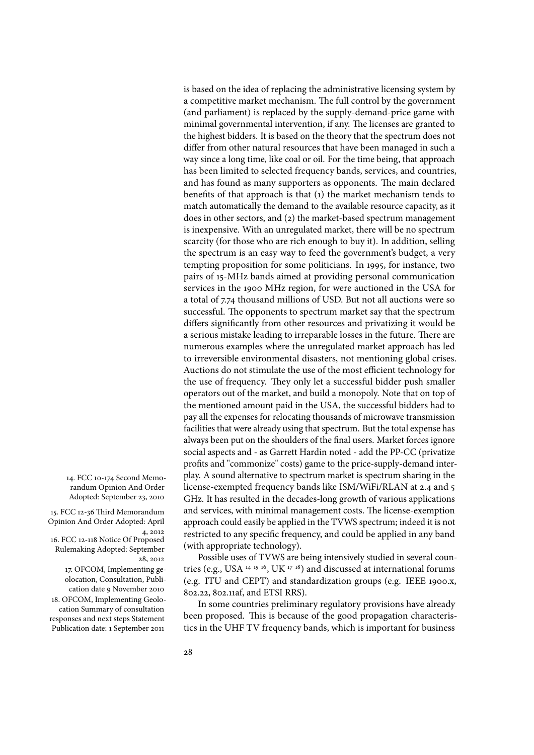a competitive market mechanism. The full control by the government (and parliament) is replaced by the supply-demand-price game with minimal governmental intervention, if any. The licenses are granted to the highest bidders. It is based on the theory that the spectrum does not differ from other natural resources that have been managed in such a way since a long time, like coal or oil. For the time being, that approach has been limited to selected frequency bands, services, and countries, and has found as many supporters as opponents. The main declared benefits of that approach is that  $(1)$  the market mechanism tends to match automatically the demand to the available resource capacity, as it does in other sectors, and (2) the market-based spectrum management is inexpensive. With an unregulated market, there will be no spectrum scarcity (for those who are rich enough to buy it). In addition, selling the spectrum is an easy way to feed the government's budget, a very tempting proposition for some politicians. In 1995, for instance, two pairs of 15-MHz bands aimed at providing personal communication services in the 1900 MHz region, for were auctioned in the USA for a total of 7.74 thousand millions of USD. But not all auctions were so successful. The opponents to spectrum market say that the spectrum differs significantly from other resources and privatizing it would be a serious mistake leading to irreparable losses in the future. There are numerous examples where the unregulated market approach has led to irreversible environmental disasters, not mentioning global crises. Auctions do not stimulate the use of the most efficient technology for the use of frequency. They only let a successful bidder push smaller operators out of the market, and build a monopoly. Note that on top of the mentioned amount paid in the USA, the successful bidders had to pay all the expenses for relocating thousands of microwave transmission facilities that were already using that spectrum. But the total expense has always been put on the shoulders of the final users. Market forces ignore social aspects and - as Garrett Hardin noted - add the PP-CC (privatize profits and "commonize" costs) game to the price-supply-demand interplay. A sound alternative to spectrum market is spectrum sharing in the license-exempted frequency bands like ISM/WiFi/RLAN at 2.4 and 5 GHz. It has resulted in the decades-long growth of various applications and services, with minimal management costs. The license-exemption approach could easily be applied in the TVWS spectrum; indeed it is not restricted to any specific frequency, and could be applied in any band (with appropriate technology).

is based on the idea of replacing the administrative licensing system by

Possible uses of TVWS are being intensively studied in several coun-17. OFCOM, Implementing ge-  $\,$  tries (e.g., USA  $^{14}$  <sup>15 16</sup>, UK  $^{17}$   $^{18})$  and discussed at international forums (e.g. ITU and CEPT) and standardization groups (e.g. IEEE 1900.x, 802.22, 802.11af, and ETSI RRS).

In some countries preliminary regulatory provisions have already been proposed. This is because of the good propagation characteristics in the UHF TV frequency bands, which is important for business

14. FCC 10-174 Second Memorandum Opinion And Order Adopted: September 23, 2010

15. FCC 12-36 Third Memorandum Opinion And Order Adopted: April 4, 2012

16. FCC 12-118 Notice Of Proposed Rulemaking Adopted: September 28, 2012

olocation, Consultation, Publication date 9 November 2010 18. OFCOM, Implementing Geolocation Summary of consultation responses and next steps Statement Publication date: 1 September 2011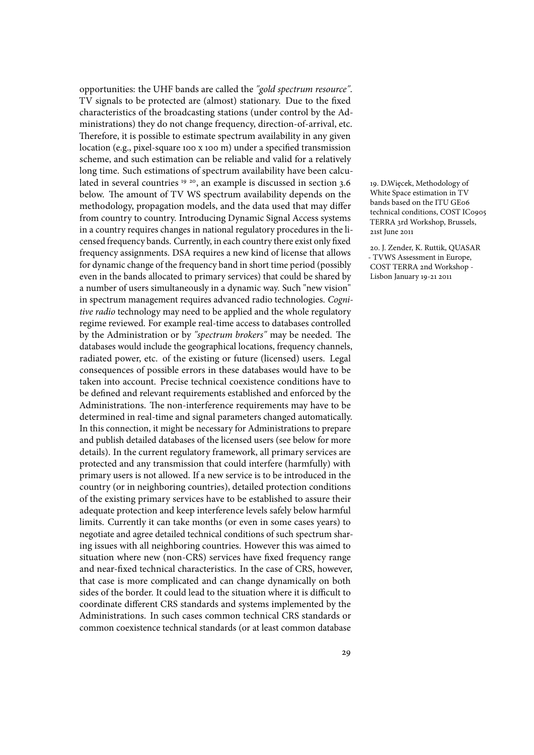opportunities: the UHF bands are called the *"gold spectrum resource"*. TV signals to be protected are (almost) stationary. Due to the fixed characteristics of the broadcasting stations (under control by the Administrations) they do not change frequency, direction-of-arrival, etc. Therefore, it is possible to estimate spectrum availability in any given location (e.g., pixel-square 100 x 100 m) under a specified transmission scheme, and such estimation can be reliable and valid for a relatively long time. Such estimations of spectrum availability have been calculated in several countries <sup>19 20</sup>, an example is discussed in section 3.6 919. D.Więcek, Methodology of below. The amount of TV WS spectrum availability depends on the methodology, propagation models, and the data used that may differ from country to country. Introducing Dynamic Signal Access systems in a country requires changes in national regulatory procedures in the licensed frequency bands. Currently, in each country there exist only fixed frequency assignments. DSA requires a new kind of license that allows for dynamic change of the frequency band in short time period (possibly even in the bands allocated to primary services) that could be shared by a number of users simultaneously in a dynamic way. Such "new vision" in spectrum management requires advanced radio technologies. *Cognitive radio* technology may need to be applied and the whole regulatory regime reviewed. For example real-time access to databases controlled by the Administration or by "spectrum brokers" may be needed. The databases would include the geographical locations, frequency channels, radiated power, etc. of the existing or future (licensed) users. Legal consequences of possible errors in these databases would have to be taken into account. Precise technical coexistence conditions have to be defined and relevant requirements established and enforced by the Administrations. The non-interference requirements may have to be determined in real-time and signal parameters changed automatically. In this connection, it might be necessary for Administrations to prepare and publish detailed databases of the licensed users (see below for more details). In the current regulatory framework, all primary services are protected and any transmission that could interfere (harmfully) with primary users is not allowed. If a new service is to be introduced in the country (or in neighboring countries), detailed protection conditions of the existing primary services have to be established to assure their adequate protection and keep interference levels safely below harmful limits. Currently it can take months (or even in some cases years) to negotiate and agree detailed technical conditions of such spectrum sharing issues with all neighboring countries. However this was aimed to situation where new (non-CRS) services have fixed frequency range and near-fixed technical characteristics. In the case of CRS, however, that case is more complicated and can change dynamically on both sides of the border. It could lead to the situation where it is difficult to coordinate different CRS standards and systems implemented by the Administrations. In such cases common technical CRS standards or common coexistence technical standards (or at least common database

White Space estimation in TV bands based on the ITU GE06 technical conditions, COST IC0905 TERRA 3rd Workshop, Brussels, 21st June 2011

20. J. Zender, K. Ruttik, QUASAR - TVWS Assessment in Europe, COST TERRA 2nd Workshop - Lisbon January 19-21 2011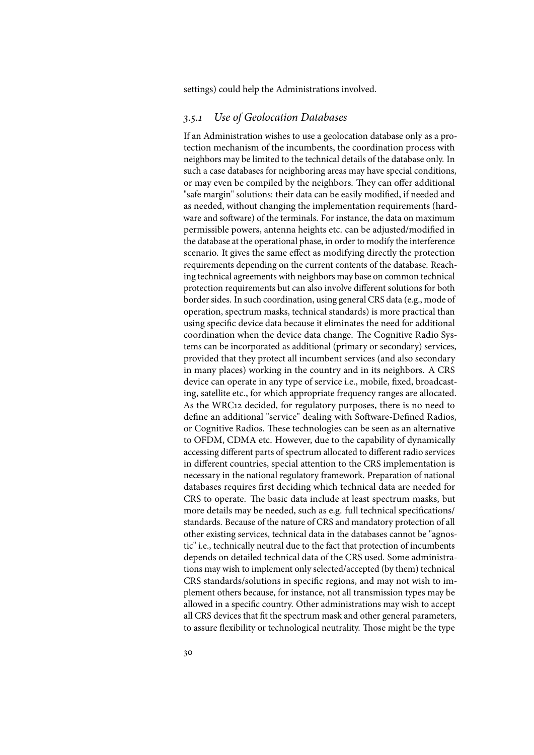settings) could help the Administrations involved.

## 3*.*5*.*1 *Use of Geolocation Databases*

If an Administration wishes to use a geolocation database only as a protection mechanism of the incumbents, the coordination process with neighbors may be limited to the technical details of the database only. In such a case databases for neighboring areas may have special conditions, or may even be compiled by the neighbors. They can offer additional "safe margin" solutions: their data can be easily modified, if needed and as needed, without changing the implementation requirements (hardware and software) of the terminals. For instance, the data on maximum permissible powers, antenna heights etc. can be adjusted/modified in the database at the operational phase, in order to modify the interference scenario. It gives the same effect as modifying directly the protection requirements depending on the current contents of the database. Reaching technical agreements with neighbors may base on common technical protection requirements but can also involve different solutions for both border sides. In such coordination, using general CRS data (e.g., mode of operation, spectrum masks, technical standards) is more practical than using specific device data because it eliminates the need for additional coordination when the device data change. The Cognitive Radio Systems can be incorporated as additional (primary or secondary) services, provided that they protect all incumbent services (and also secondary in many places) working in the country and in its neighbors. A CRS device can operate in any type of service i.e., mobile, fixed, broadcasting, satellite etc., for which appropriate frequency ranges are allocated. As the WRC12 decided, for regulatory purposes, there is no need to define an additional "service" dealing with Software-Defined Radios, or Cognitive Radios. These technologies can be seen as an alternative to OFDM, CDMA etc. However, due to the capability of dynamically accessing different parts of spectrum allocated to different radio services in different countries, special attention to the CRS implementation is necessary in the national regulatory framework. Preparation of national databases requires first deciding which technical data are needed for CRS to operate. The basic data include at least spectrum masks, but more details may be needed, such as e.g. full technical specifications/ standards. Because of the nature of CRS and mandatory protection of all other existing services, technical data in the databases cannot be "agnostic" i.e., technically neutral due to the fact that protection of incumbents depends on detailed technical data of the CRS used. Some administrations may wish to implement only selected/accepted (by them) technical CRS standards/solutions in specific regions, and may not wish to implement others because, for instance, not all transmission types may be allowed in a specific country. Other administrations may wish to accept all CRS devices that fit the spectrum mask and other general parameters, to assure flexibility or technological neutrality. Those might be the type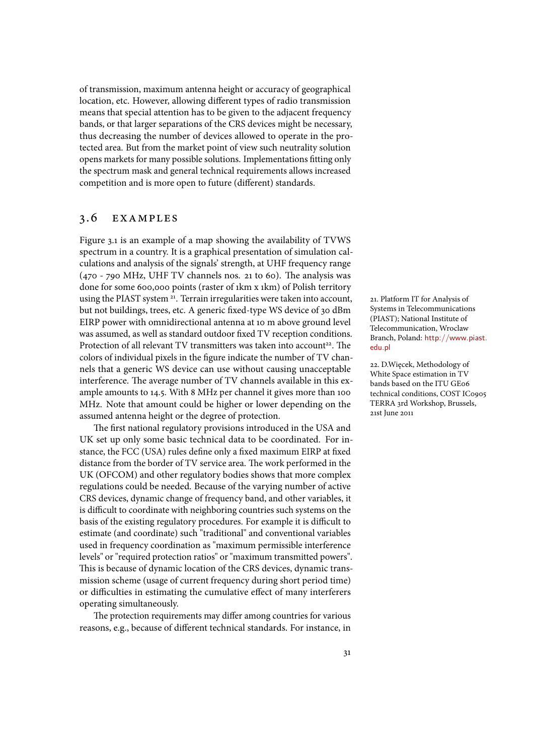of transmission, maximum antenna height or accuracy of geographical location, etc. However, allowing different types of radio transmission means that special attention has to be given to the adjacent frequency bands, or that larger separations of the CRS devices might be necessary, thus decreasing the number of devices allowed to operate in the protected area. But from the market point of view such neutrality solution opens markets for many possible solutions. Implementations fitting only the spectrum mask and general technical requirements allows increased competition and is more open to future (different) standards.

# 3.6 examples

Figure 3.1 is an example of a map showing the availability of TVWS spectrum in a country. It is a graphical presentation of simulation calculations and analysis of the signals' strength, at UHF frequency range  $(470 - 790$  MHz, UHF TV channels nos. 21 to 60). The analysis was done for some 600,000 points (raster of 1km x 1km) of Polish territory using the PIAST system <sup>21</sup>. Terrain irregularities were taken into account, 21. Platform IT for Analysis of but not buildings, trees, etc. A generic fixed-type WS device of 30 dBm EIRP power with omnidirectional antenna at 10 m above ground level was assumed, as well as standard outdoor fixed TV reception conditions. Protection of all relevant TV transmitters was taken into account<sup>22</sup>. The colors of individual pixels in the figure indicate the number of TV channels that a generic WS device can use without causing unacceptable interference. The average number of TV channels available in this example amounts to 14.5. With 8 MHz per channel it gives more than 100 MHz. Note that amount could be higher or lower depending on the assumed antenna height or the degree of protection.

The first national regulatory provisions introduced in the USA and UK set up only some basic technical data to be coordinated. For instance, the FCC (USA) rules define only a fixed maximum EIRP at fixed distance from the border of TV service area. The work performed in the UK (OFCOM) and other regulatory bodies shows that more complex regulations could be needed. Because of the varying number of active CRS devices, dynamic change of frequency band, and other variables, it is difficult to coordinate with neighboring countries such systems on the basis of the existing regulatory procedures. For example it is difficult to estimate (and coordinate) such "traditional" and conventional variables used in frequency coordination as "maximum permissible interference levels" or "required protection ratios" or "maximum transmitted powers". This is because of dynamic location of the CRS devices, dynamic transmission scheme (usage of current frequency during short period time) or difficulties in estimating the cumulative effect of many interferers operating simultaneously.

The protection requirements may differ among countries for various reasons, e.g., because of different technical standards. For instance, in Systems in Telecommunications (PIAST); National Institute of Telecommunication, Wroclaw Branch, Poland: http://www.piast. edu.pl

22. D.Więcek, Methodology of White Space estimation in TV bands based on the ITU GE06 technical conditions, COST IC0905 TERRA 3rd Workshop, Brussels, 21st June 2011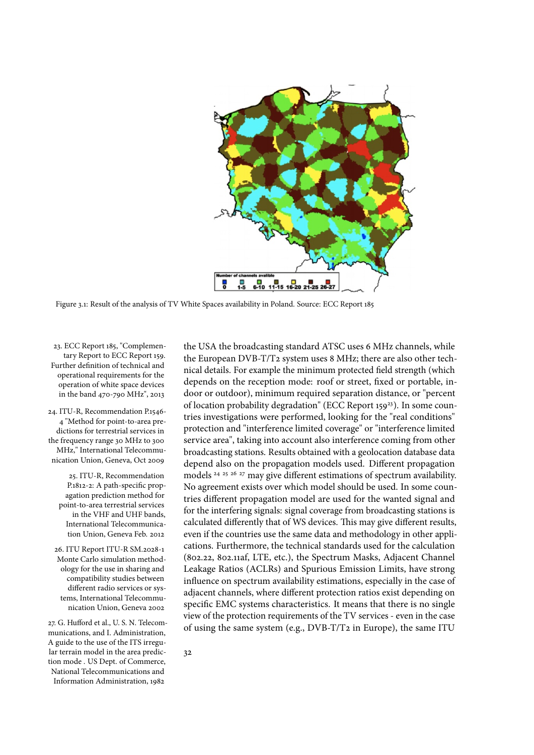

Figure 3.1: Result of the analysis of TV White Spaces availability in Poland. Source: ECC Report 185

23. ECC Report 185, "Complementary Report to ECC Report 159. Further definition of technical and operational requirements for the operation of white space devices in the band 470-790 MHz", 2013

24. ITU-R, Recommendation P.1546- 4 "Method for point-to-area predictions for terrestrial services in the frequency range 30 MHz to 300 MHz," International Telecommunication Union, Geneva, Oct 2009

<sup>25</sup> 25. ITU-R, Recommendation P.1812-2: A path-specific propagation prediction method for point-to-area terrestrial services in the VHF and UHF bands, International Telecommunication Union, Geneva Feb. 2012

26. ITU Report ITU-R SM.2028-1 Monte Carlo simulation methodology for the use in sharing and compatibility studies between different radio services or systems, International Telecommunication Union, Geneva 2002

27. G. Hufford et al., U. S. N. Telecommunications, and I. Administration, A guide to the use of the ITS irregular terrain model in the area prediction mode . US Dept. of Commerce, National Telecommunications and Information Administration, 1982

the USA the broadcasting standard ATSC uses 6 MHz channels, while the European DVB-T/T2 system uses 8 MHz; there are also other technical details. For example the minimum protected field strength (which depends on the reception mode: roof or street, fixed or portable, indoor or outdoor), minimum required separation distance, or "percent of location probability degradation" (ECC Report 159<sup>23</sup>). In some countries investigations were performed, looking for the "real conditions" protection and "interference limited coverage" or "interference limited service area", taking into account also interference coming from other broadcasting stations. Results obtained with a geolocation database data depend also on the propagation models used. Different propagation models<sup>24 25</sup> <sup>26</sup> <sup>27</sup> may give different estimations of spectrum availability. No agreement exists over which model should be used. In some countries different propagation model are used for the wanted signal and for the interfering signals: signal coverage from broadcasting stations is calculated differently that of WS devices. This may give different results, even if the countries use the same data and methodology in other applications. Furthermore, the technical standards used for the calculation (802.22, 802.11af, LTE, etc.), the Spectrum Masks, Adjacent Channel Leakage Ratios (ACLRs) and Spurious Emission Limits, have strong influence on spectrum availability estimations, especially in the case of adjacent channels, where different protection ratios exist depending on specific EMC systems characteristics. It means that there is no single view of the protection requirements of the TV services - even in the case of using the same system (e.g., DVB-T/T2 in Europe), the same ITU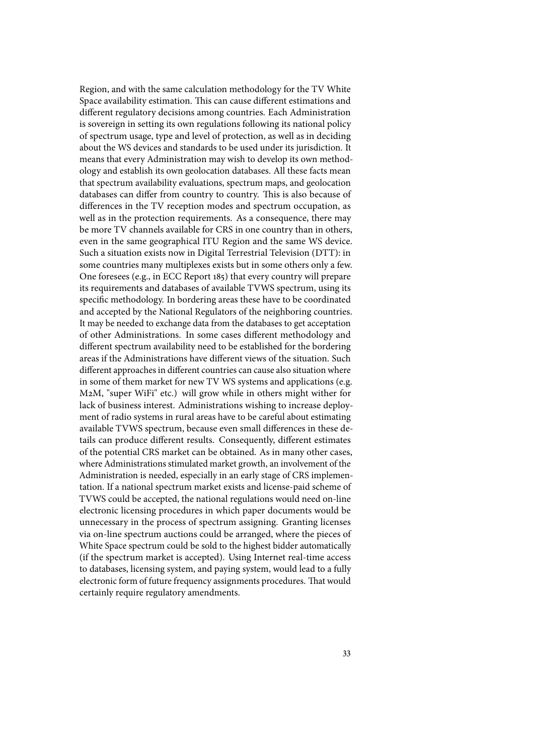Region, and with the same calculation methodology for the TV White Space availability estimation. This can cause different estimations and different regulatory decisions among countries. Each Administration is sovereign in setting its own regulations following its national policy of spectrum usage, type and level of protection, as well as in deciding about the WS devices and standards to be used under its jurisdiction. It means that every Administration may wish to develop its own methodology and establish its own geolocation databases. All these facts mean that spectrum availability evaluations, spectrum maps, and geolocation databases can differ from country to country. This is also because of differences in the TV reception modes and spectrum occupation, as well as in the protection requirements. As a consequence, there may be more TV channels available for CRS in one country than in others, even in the same geographical ITU Region and the same WS device. Such a situation exists now in Digital Terrestrial Television (DTT): in some countries many multiplexes exists but in some others only a few. One foresees (e.g., in ECC Report 185) that every country will prepare its requirements and databases of available TVWS spectrum, using its specific methodology. In bordering areas these have to be coordinated and accepted by the National Regulators of the neighboring countries. It may be needed to exchange data from the databases to get acceptation of other Administrations. In some cases different methodology and different spectrum availability need to be established for the bordering areas if the Administrations have different views of the situation. Such different approaches in different countries can cause also situation where in some of them market for new TV WS systems and applications (e.g. M2M, "super WiFi" etc.) will grow while in others might wither for lack of business interest. Administrations wishing to increase deployment of radio systems in rural areas have to be careful about estimating available TVWS spectrum, because even small differences in these details can produce different results. Consequently, different estimates of the potential CRS market can be obtained. As in many other cases, where Administrations stimulated market growth, an involvement of the Administration is needed, especially in an early stage of CRS implementation. If a national spectrum market exists and license-paid scheme of TVWS could be accepted, the national regulations would need on-line electronic licensing procedures in which paper documents would be unnecessary in the process of spectrum assigning. Granting licenses via on-line spectrum auctions could be arranged, where the pieces of White Space spectrum could be sold to the highest bidder automatically (if the spectrum market is accepted). Using Internet real-time access to databases, licensing system, and paying system, would lead to a fully electronic form of future frequency assignments procedures. That would certainly require regulatory amendments.